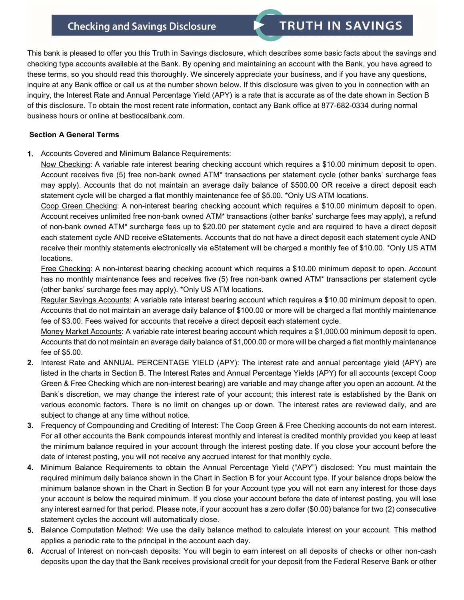## **Checking and Savings Disclosure**

This bank is pleased to offer you this Truth in Savings disclosure, which describes some basic facts about the savings and checking type accounts available at the Bank. By opening and maintaining an account with the Bank, you have agreed to these terms, so you should read this thoroughly. We sincerely appreciate your business, and if you have any questions, inquire at any Bank office or call us at the number shown below. If this disclosure was given to you in connection with an inquiry, the Interest Rate and Annual Percentage Yield (APY) is a rate that is accurate as of the date shown in Section B of this disclosure. To obtain the most recent rate information, contact any Bank office at 877-682-0334 during normal business hours or online at bestlocalbank.com.

## **Section A General Terms**

**1.** Accounts Covered and Minimum Balance Requirements:

Now Checking: A variable rate interest bearing checking account which requires a \$10.00 minimum deposit to open. Account receives five (5) free non-bank owned ATM\* transactions per statement cycle (other banks' surcharge fees may apply). Accounts that do not maintain an average daily balance of \$500.00 OR receive a direct deposit each statement cycle will be charged a flat monthly maintenance fee of \$5.00. \*Only US ATM locations.

Coop Green Checking: A non-interest bearing checking account which requires a \$10.00 minimum deposit to open. Account receives unlimited free non-bank owned ATM\* transactions (other banks' surcharge fees may apply), a refund of non-bank owned ATM\* surcharge fees up to \$20.00 per statement cycle and are required to have a direct deposit each statement cycle AND receive eStatements. Accounts that do not have a direct deposit each statement cycle AND receive their monthly statements electronically via eStatement will be charged a monthly fee of \$10.00. \*Only US ATM locations.

Free Checking: A non-interest bearing checking account which requires a \$10.00 minimum deposit to open. Account has no monthly maintenance fees and receives five (5) free non-bank owned ATM\* transactions per statement cycle (other banks' surcharge fees may apply). \*Only US ATM locations.

Regular Savings Accounts: A variable rate interest bearing account which requires a \$10.00 minimum deposit to open. Accounts that do not maintain an average daily balance of \$100.00 or more will be charged a flat monthly maintenance fee of \$3.00. Fees waived for accounts that receive a direct deposit each statement cycle.

Money Market Accounts: A variable rate interest bearing account which requires a \$1,000.00 minimum deposit to open. Accounts that do not maintain an average daily balance of \$1,000.00 or more will be charged a flat monthly maintenance fee of \$5.00.

- **2.** Interest Rate and ANNUAL PERCENTAGE YIELD (APY): The interest rate and annual percentage yield (APY) are listed in the charts in Section B. The Interest Rates and Annual Percentage Yields (APY) for all accounts (except Coop Green & Free Checking which are non-interest bearing) are variable and may change after you open an account. At the Bank's discretion, we may change the interest rate of your account; this interest rate is established by the Bank on various economic factors. There is no limit on changes up or down. The interest rates are reviewed daily, and are subject to change at any time without notice.
- **3.** Frequency of Compounding and Crediting of Interest: The Coop Green & Free Checking accounts do not earn interest. For all other accounts the Bank compounds interest monthly and interest is credited monthly provided you keep at least the minimum balance required in your account through the interest posting date. If you close your account before the date of interest posting, you will not receive any accrued interest for that monthly cycle.
- **4.** Minimum Balance Requirements to obtain the Annual Percentage Yield ("APY") disclosed: You must maintain the required minimum daily balance shown in the Chart in Section B for your Account type. If your balance drops below the minimum balance shown in the Chart in Section B for your Account type you will not earn any interest for those days your account is below the required minimum. If you close your account before the date of interest posting, you will lose any interest earned for that period. Please note, if your account has a zero dollar (\$0.00) balance for two (2) consecutive statement cycles the account will automatically close.
- **5.** Balance Computation Method: We use the daily balance method to calculate interest on your account. This method applies a periodic rate to the principal in the account each day.
- **6.** Accrual of Interest on non-cash deposits: You will begin to earn interest on all deposits of checks or other non-cash deposits upon the day that the Bank receives provisional credit for your deposit from the Federal Reserve Bank or other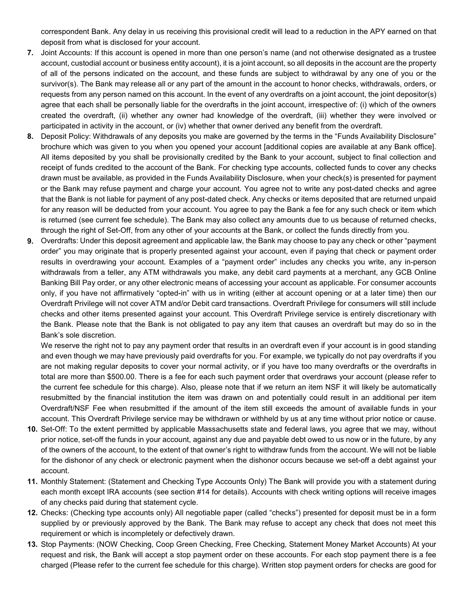correspondent Bank. Any delay in us receiving this provisional credit will lead to a reduction in the APY earned on that deposit from what is disclosed for your account.

- **7.** Joint Accounts: If this account is opened in more than one person's name (and not otherwise designated as a trustee account, custodial account or business entity account), it is a joint account, so all deposits in the account are the property of all of the persons indicated on the account, and these funds are subject to withdrawal by any one of you or the survivor(s). The Bank may release all or any part of the amount in the account to honor checks, withdrawals, orders, or requests from any person named on this account. In the event of any overdrafts on a joint account, the joint depositor(s) agree that each shall be personally liable for the overdrafts in the joint account, irrespective of: (i) which of the owners created the overdraft, (ii) whether any owner had knowledge of the overdraft, (iii) whether they were involved or participated in activity in the account, or (iv) whether that owner derived any benefit from the overdraft.
- **8.** Deposit Policy: Withdrawals of any deposits you make are governed by the terms in the "Funds Availability Disclosure" brochure which was given to you when you opened your account [additional copies are available at any Bank office]. All items deposited by you shall be provisionally credited by the Bank to your account, subject to final collection and receipt of funds credited to the account of the Bank. For checking type accounts, collected funds to cover any checks drawn must be available, as provided in the Funds Availability Disclosure, when your check(s) is presented for payment or the Bank may refuse payment and charge your account. You agree not to write any post-dated checks and agree that the Bank is not liable for payment of any post-dated check. Any checks or items deposited that are returned unpaid for any reason will be deducted from your account. You agree to pay the Bank a fee for any such check or item which is returned (see current fee schedule). The Bank may also collect any amounts due to us because of returned checks, through the right of Set-Off, from any other of your accounts at the Bank, or collect the funds directly from you.
- **9.** Overdrafts: Under this deposit agreement and applicable law, the Bank may choose to pay any check or other "payment order" you may originate that is properly presented against your account, even if paying that check or payment order results in overdrawing your account. Examples of a "payment order" includes any checks you write, any in-person withdrawals from a teller, any ATM withdrawals you make, any debit card payments at a merchant, any GCB Online Banking Bill Pay order, or any other electronic means of accessing your account as applicable. For consumer accounts only, if you have not affirmatively "opted-in" with us in writing (either at account opening or at a later time) then our Overdraft Privilege will not cover ATM and/or Debit card transactions. Overdraft Privilege for consumers will still include checks and other items presented against your account. This Overdraft Privilege service is entirely discretionary with the Bank. Please note that the Bank is not obligated to pay any item that causes an overdraft but may do so in the Bank's sole discretion.

We reserve the right not to pay any payment order that results in an overdraft even if your account is in good standing and even though we may have previously paid overdrafts for you. For example, we typically do not pay overdrafts if you are not making regular deposits to cover your normal activity, or if you have too many overdrafts or the overdrafts in total are more than \$500.00. There is a fee for each such payment order that overdraws your account (please refer to the current fee schedule for this charge). Also, please note that if we return an item NSF it will likely be automatically resubmitted by the financial institution the item was drawn on and potentially could result in an additional per item Overdraft/NSF Fee when resubmitted if the amount of the item still exceeds the amount of available funds in your account. This Overdraft Privilege service may be withdrawn or withheld by us at any time without prior notice or cause.

- **10.** Set-Off: To the extent permitted by applicable Massachusetts state and federal laws, you agree that we may, without prior notice, set-off the funds in your account, against any due and payable debt owed to us now or in the future, by any of the owners of the account, to the extent of that owner's right to withdraw funds from the account. We will not be liable for the dishonor of any check or electronic payment when the dishonor occurs because we set-off a debt against your account.
- **11.** Monthly Statement: (Statement and Checking Type Accounts Only) The Bank will provide you with a statement during each month except IRA accounts (see section #14 for details). Accounts with check writing options will receive images of any checks paid during that statement cycle.
- **12.** Checks: (Checking type accounts only) All negotiable paper (called "checks") presented for deposit must be in a form supplied by or previously approved by the Bank. The Bank may refuse to accept any check that does not meet this requirement or which is incompletely or defectively drawn.
- **13.** Stop Payments: (NOW Checking, Coop Green Checking, Free Checking, Statement Money Market Accounts) At your request and risk, the Bank will accept a stop payment order on these accounts. For each stop payment there is a fee charged (Please refer to the current fee schedule for this charge). Written stop payment orders for checks are good for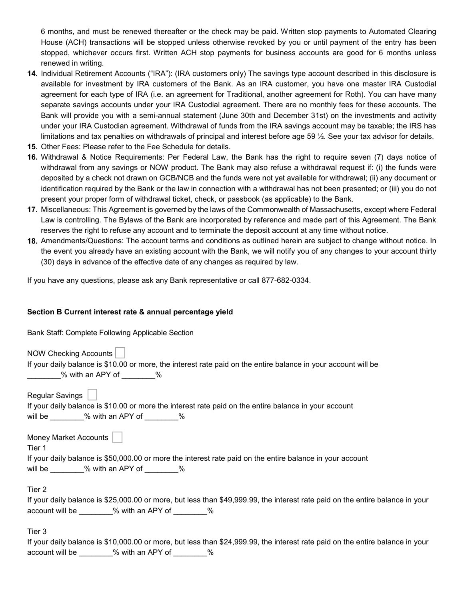6 months, and must be renewed thereafter or the check may be paid. Written stop payments to Automated Clearing House (ACH) transactions will be stopped unless otherwise revoked by you or until payment of the entry has been stopped, whichever occurs first. Written ACH stop payments for business accounts are good for 6 months unless renewed in writing.

- **14.** Individual Retirement Accounts ("IRA"): (IRA customers only) The savings type account described in this disclosure is available for investment by IRA customers of the Bank. As an IRA customer, you have one master IRA Custodial agreement for each type of IRA (i.e. an agreement for Traditional, another agreement for Roth). You can have many separate savings accounts under your IRA Custodial agreement. There are no monthly fees for these accounts. The Bank will provide you with a semi-annual statement (June 30th and December 31st) on the investments and activity under your IRA Custodian agreement. Withdrawal of funds from the IRA savings account may be taxable; the IRS has limitations and tax penalties on withdrawals of principal and interest before age 59 ½. See your tax advisor for details.
- **15.** Other Fees: Please refer to the Fee Schedule for details.
- **16.** Withdrawal & Notice Requirements: Per Federal Law, the Bank has the right to require seven (7) days notice of withdrawal from any savings or NOW product. The Bank may also refuse a withdrawal request if: (i) the funds were deposited by a check not drawn on GCB/NCB and the funds were not yet available for withdrawal; (ii) any document or identification required by the Bank or the law in connection with a withdrawal has not been presented; or (iii) you do not present your proper form of withdrawal ticket, check, or passbook (as applicable) to the Bank.
- **17.** Miscellaneous: This Agreement is governed by the laws of the Commonwealth of Massachusetts, except where Federal Law is controlling. The Bylaws of the Bank are incorporated by reference and made part of this Agreement. The Bank reserves the right to refuse any account and to terminate the deposit account at any time without notice.
- **18.** Amendments/Questions: The account terms and conditions as outlined herein are subject to change without notice. In the event you already have an existing account with the Bank, we will notify you of any changes to your account thirty (30) days in advance of the effective date of any changes as required by law.

If you have any questions, please ask any Bank representative or call 877-682-0334.

## **Section B Current interest rate & annual percentage yield**

Bank Staff: Complete Following Applicable Section

NOW Checking Accounts If your daily balance is \$10.00 or more, the interest rate paid on the entire balance in your account will be \_\_\_\_\_\_\_\_% with an APY of \_\_\_\_\_\_\_\_%

Regular Savings

|         |                  | If your daily balance is \$10.00 or more the interest rate paid on the entire balance in your account |
|---------|------------------|-------------------------------------------------------------------------------------------------------|
| will be | % with an APY of |                                                                                                       |

Money Market Accounts

Tier 1

|         | If your daily balance is \$50,000.00 or more the interest rate paid on the entire balance in your account |  |  |  |
|---------|-----------------------------------------------------------------------------------------------------------|--|--|--|
| will be | % with an APY of                                                                                          |  |  |  |

Tier 2

|                 | If your daily balance is \$25,000.00 or more, but less than \$49,999.99, the interest rate paid on the entire balance in your |  |  |
|-----------------|-------------------------------------------------------------------------------------------------------------------------------|--|--|
| account will be | % with an APY of                                                                                                              |  |  |

Tier 3

|                 |                  | If your daily balance is \$10,000.00 or more, but less than \$24,999.99, the interest rate paid on the entire balance in your |  |  |
|-----------------|------------------|-------------------------------------------------------------------------------------------------------------------------------|--|--|
| account will be | % with an APY of |                                                                                                                               |  |  |